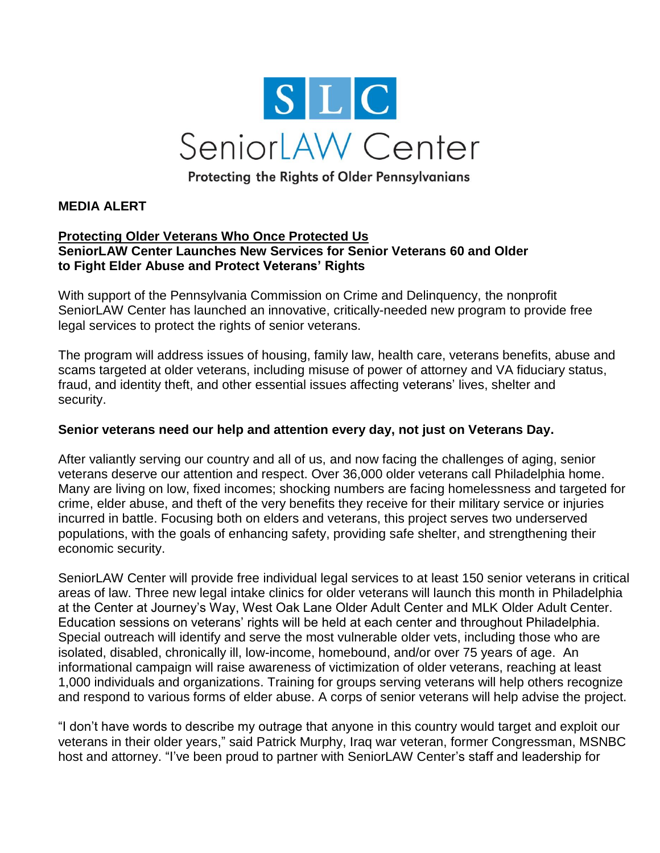

Protecting the Rights of Older Pennsylvanians

## **MEDIA ALERT**

## **Protecting Older Veterans Who Once Protected Us SeniorLAW Center Launches New Services for Senior Veterans 60 and Older to Fight Elder Abuse and Protect Veterans' Rights**

With support of the Pennsylvania Commission on Crime and Delinquency, the nonprofit SeniorLAW Center has launched an innovative, critically-needed new program to provide free legal services to protect the rights of senior veterans.

The program will address issues of housing, family law, health care, veterans benefits, abuse and scams targeted at older veterans, including misuse of power of attorney and VA fiduciary status, fraud, and identity theft, and other essential issues affecting veterans' lives, shelter and security.

## **Senior veterans need our help and attention every day, not just on Veterans Day.**

After valiantly serving our country and all of us, and now facing the challenges of aging, senior veterans deserve our attention and respect. Over 36,000 older veterans call Philadelphia home. Many are living on low, fixed incomes; shocking numbers are facing homelessness and targeted for crime, elder abuse, and theft of the very benefits they receive for their military service or injuries incurred in battle. Focusing both on elders and veterans, this project serves two underserved populations, with the goals of enhancing safety, providing safe shelter, and strengthening their economic security.

SeniorLAW Center will provide free individual legal services to at least 150 senior veterans in critical areas of law. Three new legal intake clinics for older veterans will launch this month in Philadelphia at the Center at Journey's Way, West Oak Lane Older Adult Center and MLK Older Adult Center. Education sessions on veterans' rights will be held at each center and throughout Philadelphia. Special outreach will identify and serve the most vulnerable older vets, including those who are isolated, disabled, chronically ill, low-income, homebound, and/or over 75 years of age. An informational campaign will raise awareness of victimization of older veterans, reaching at least 1,000 individuals and organizations. Training for groups serving veterans will help others recognize and respond to various forms of elder abuse. A corps of senior veterans will help advise the project.

"I don't have words to describe my outrage that anyone in this country would target and exploit our veterans in their older years," said Patrick Murphy, Iraq war veteran, former Congressman, MSNBC host and attorney. "I've been proud to partner with SeniorLAW Center's staff and leadership for